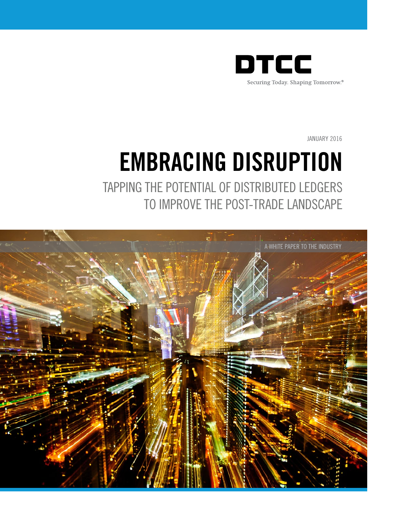

JANUARY 2016

# EMBRACING DISRUPTION

TAPPING THE POTENTIAL OF DISTRIBUTED LEDGERS TO IMPROVE THE POST-TRADE LANDSCAPE

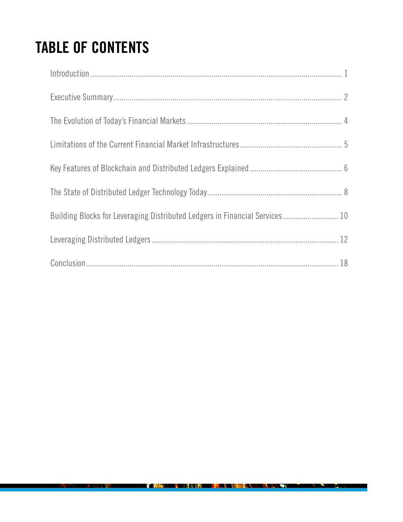## TABLE OF CONTENTS

| Introduction 1                                                              |  |
|-----------------------------------------------------------------------------|--|
|                                                                             |  |
|                                                                             |  |
|                                                                             |  |
|                                                                             |  |
|                                                                             |  |
| Building Blocks for Leveraging Distributed Ledgers in Financial Services 10 |  |
|                                                                             |  |
|                                                                             |  |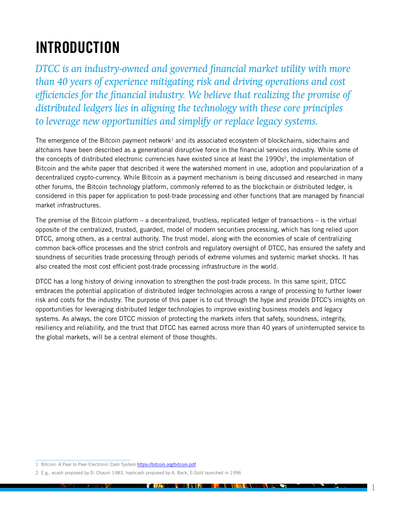### <span id="page-2-0"></span>INTRODUCTION

*DTCC is an industry-owned and governed financial market utility with more than 40 years of experience mitigating risk and driving operations and cost efficiencies for the financial industry. We believe that realizing the promise of distributed ledgers lies in aligning the technology with these core principles to leverage new opportunities and simplify or replace legacy systems.*

The emergence of the Bitcoin payment network<sup>1</sup> and its associated ecosystem of blockchains, sidechains and altchains have been described as a generational disruptive force in the financial services industry. While some of the concepts of distributed electronic currencies have existed since at least the 1990s<sup>2</sup>, the implementation of Bitcoin and the white paper that described it were the watershed moment in use, adoption and popularization of a decentralized crypto-currency. While Bitcoin as a payment mechanism is being discussed and researched in many other forums, the Bitcoin technology platform, commonly referred to as the blockchain or distributed ledger, is considered in this paper for application to post-trade processing and other functions that are managed by financial market infrastructures.

The premise of the Bitcoin platform – a decentralized, trustless, replicated ledger of transactions – is the virtual opposite of the centralized, trusted, guarded, model of modern securities processing, which has long relied upon DTCC, among others, as a central authority. The trust model, along with the economies of scale of centralizing common back-office processes and the strict controls and regulatory oversight of DTCC, has ensured the safety and soundness of securities trade processing through periods of extreme volumes and systemic market shocks. It has also created the most cost efficient post-trade processing infrastructure in the world.

DTCC has a long history of driving innovation to strengthen the post-trade process. In this same spirit, DTCC embraces the potential application of distributed ledger technologies across a range of processing to further lower risk and costs for the industry. The purpose of this paper is to cut through the hype and provide DTCC's insights on opportunities for leveraging distributed ledger technologies to improve existing business models and legacy systems. As always, the core DTCC mission of protecting the markets infers that safety, soundness, integrity, resiliency and reliability, and the trust that DTCC has earned across more than 40 years of uninterrupted service to the global markets, will be a central element of those thoughts.

<sup>1</sup> Bitcoin: A Peer to Peer Electronic Cash System <https://bitcoin.org/bitcoin.pdf>

<sup>2</sup> E.g., ecash proposed by D. Chaum 1983, hashcash proposed by A. Back, E-Gold launched in 1996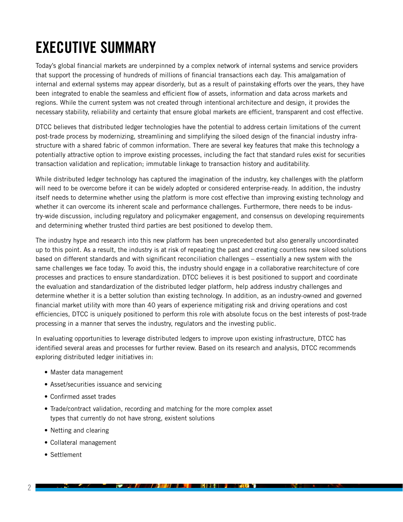### <span id="page-3-0"></span>EXECUTIVE SUMMARY

Today's global financial markets are underpinned by a complex network of internal systems and service providers that support the processing of hundreds of millions of financial transactions each day. This amalgamation of internal and external systems may appear disorderly, but as a result of painstaking efforts over the years, they have been integrated to enable the seamless and efficient flow of assets, information and data across markets and regions. While the current system was not created through intentional architecture and design, it provides the necessary stability, reliability and certainty that ensure global markets are efficient, transparent and cost effective.

DTCC believes that distributed ledger technologies have the potential to address certain limitations of the current post-trade process by modernizing, streamlining and simplifying the siloed design of the financial industry infrastructure with a shared fabric of common information. There are several key features that make this technology a potentially attractive option to improve existing processes, including the fact that standard rules exist for securities transaction validation and replication; immutable linkage to transaction history and auditability.

While distributed ledger technology has captured the imagination of the industry, key challenges with the platform will need to be overcome before it can be widely adopted or considered enterprise-ready. In addition, the industry itself needs to determine whether using the platform is more cost effective than improving existing technology and whether it can overcome its inherent scale and performance challenges. Furthermore, there needs to be industry-wide discussion, including regulatory and policymaker engagement, and consensus on developing requirements and determining whether trusted third parties are best positioned to develop them.

The industry hype and research into this new platform has been unprecedented but also generally uncoordinated up to this point. As a result, the industry is at risk of repeating the past and creating countless new siloed solutions based on different standards and with significant reconciliation challenges – essentially a new system with the same challenges we face today. To avoid this, the industry should engage in a collaborative rearchitecture of core processes and practices to ensure standardization. DTCC believes it is best positioned to support and coordinate the evaluation and standardization of the distributed ledger platform, help address industry challenges and determine whether it is a better solution than existing technology. In addition, as an industry-owned and governed financial market utility with more than 40 years of experience mitigating risk and driving operations and cost efficiencies, DTCC is uniquely positioned to perform this role with absolute focus on the best interests of post-trade processing in a manner that serves the industry, regulators and the investing public.

In evaluating opportunities to leverage distributed ledgers to improve upon existing infrastructure, DTCC has identified several areas and processes for further review. Based on its research and analysis, DTCC recommends exploring distributed ledger initiatives in:

- Master data management
- Asset/securities issuance and servicing
- Confirmed asset trades
- Trade/contract validation, recording and matching for the more complex asset types that currently do not have strong, existent solutions
- Netting and clearing
- Collateral management
- Settlement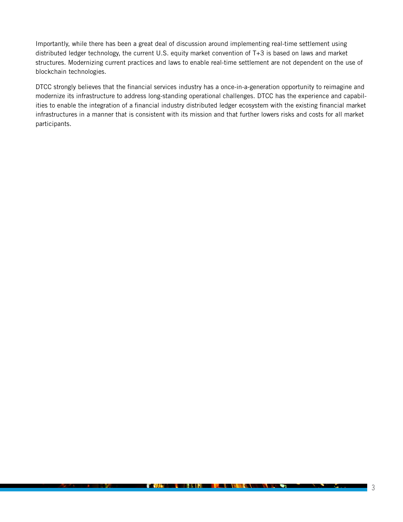Importantly, while there has been a great deal of discussion around implementing real-time settlement using distributed ledger technology, the current U.S. equity market convention of T+3 is based on laws and market structures. Modernizing current practices and laws to enable real-time settlement are not dependent on the use of blockchain technologies.

DTCC strongly believes that the financial services industry has a once-in-a-generation opportunity to reimagine and modernize its infrastructure to address long-standing operational challenges. DTCC has the experience and capabilities to enable the integration of a financial industry distributed ledger ecosystem with the existing financial market infrastructures in a manner that is consistent with its mission and that further lowers risks and costs for all market participants.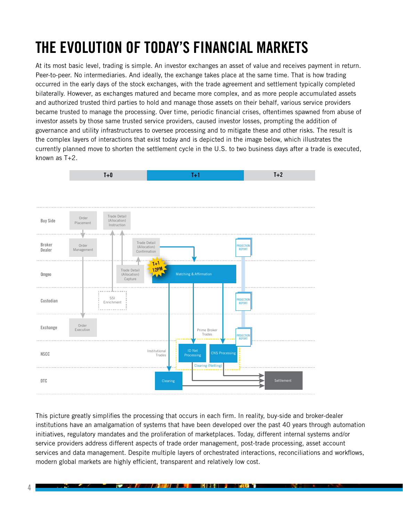## <span id="page-5-0"></span>THE EVOLUTION OF TODAY'S FINANCIAL MARKETS

At its most basic level, trading is simple. An investor exchanges an asset of value and receives payment in return. Peer-to-peer. No intermediaries. And ideally, the exchange takes place at the same time. That is how trading occurred in the early days of the stock exchanges, with the trade agreement and settlement typically completed bilaterally. However, as exchanges matured and became more complex, and as more people accumulated assets and authorized trusted third parties to hold and manage those assets on their behalf, various service providers became trusted to manage the processing. Over time, periodic financial crises, oftentimes spawned from abuse of investor assets by those same trusted service providers, caused investor losses, prompting the addition of governance and utility infrastructures to oversee processing and to mitigate these and other risks. The result is the complex layers of interactions that exist today and is depicted in the image below, which illustrates the currently planned move to shorten the settlement cycle in the U.S. to two business days after a trade is executed, known as T+2.



This picture greatly simplifies the processing that occurs in each firm. In reality, buy-side and broker-dealer institutions have an amalgamation of systems that have been developed over the past 40 years through automation initiatives, regulatory mandates and the proliferation of marketplaces. Today, different internal systems and/or service providers address different aspects of trade order management, post-trade processing, asset account services and data management. Despite multiple layers of orchestrated interactions, reconciliations and workflows, modern global markets are highly efficient, transparent and relatively low cost.

<u> 1947 - John Harry John Harry Barnett, amerikan besteht og den større og den større og den større og den større og den større og den større og den større og den større og den større og den større og den større og den stør</u>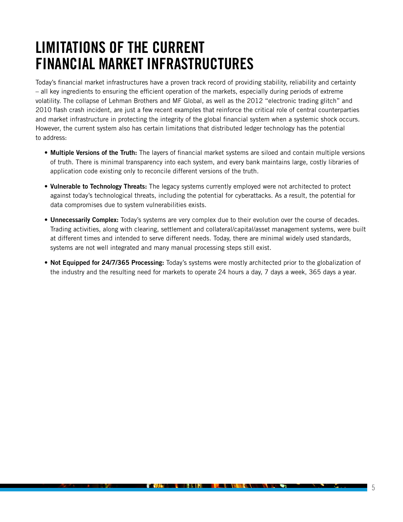### <span id="page-6-0"></span>LIMITATIONS OF THE CURRENT FINANCIAL MARKET INFRASTRUCTURES

Today's financial market infrastructures have a proven track record of providing stability, reliability and certainty – all key ingredients to ensuring the efficient operation of the markets, especially during periods of extreme volatility. The collapse of Lehman Brothers and MF Global, as well as the 2012 "electronic trading glitch" and 2010 flash crash incident, are just a few recent examples that reinforce the critical role of central counterparties and market infrastructure in protecting the integrity of the global financial system when a systemic shock occurs. However, the current system also has certain limitations that distributed ledger technology has the potential to address:

- Multiple Versions of the Truth: The layers of financial market systems are siloed and contain multiple versions of truth. There is minimal transparency into each system, and every bank maintains large, costly libraries of application code existing only to reconcile different versions of the truth.
- Vulnerable to Technology Threats: The legacy systems currently employed were not architected to protect against today's technological threats, including the potential for cyberattacks. As a result, the potential for data compromises due to system vulnerabilities exists.
- Unnecessarily Complex: Today's systems are very complex due to their evolution over the course of decades. Trading activities, along with clearing, settlement and collateral/capital/asset management systems, were built at different times and intended to serve different needs. Today, there are minimal widely used standards, systems are not well integrated and many manual processing steps still exist.
- Not Equipped for 24/7/365 Processing: Today's systems were mostly architected prior to the globalization of the industry and the resulting need for markets to operate 24 hours a day, 7 days a week, 365 days a year.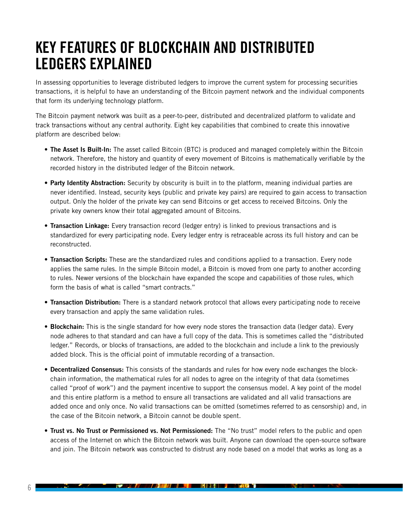### <span id="page-7-0"></span>KEY FEATURES OF BLOCKCHAIN AND DISTRIBUTED LEDGERS EXPLAINED

In assessing opportunities to leverage distributed ledgers to improve the current system for processing securities transactions, it is helpful to have an understanding of the Bitcoin payment network and the individual components that form its underlying technology platform.

The Bitcoin payment network was built as a peer-to-peer, distributed and decentralized platform to validate and track transactions without any central authority. Eight key capabilities that combined to create this innovative platform are described below:

- The Asset Is Built-In: The asset called Bitcoin (BTC) is produced and managed completely within the Bitcoin network. Therefore, the history and quantity of every movement of Bitcoins is mathematically verifiable by the recorded history in the distributed ledger of the Bitcoin network.
- Party Identity Abstraction: Security by obscurity is built in to the platform, meaning individual parties are never identified. Instead, security keys (public and private key pairs) are required to gain access to transaction output. Only the holder of the private key can send Bitcoins or get access to received Bitcoins. Only the private key owners know their total aggregated amount of Bitcoins.
- Transaction Linkage: Every transaction record (ledger entry) is linked to previous transactions and is standardized for every participating node. Every ledger entry is retraceable across its full history and can be reconstructed.
- Transaction Scripts: These are the standardized rules and conditions applied to a transaction. Every node applies the same rules. In the simple Bitcoin model, a Bitcoin is moved from one party to another according to rules. Newer versions of the blockchain have expanded the scope and capabilities of those rules, which form the basis of what is called "smart contracts."
- Transaction Distribution: There is a standard network protocol that allows every participating node to receive every transaction and apply the same validation rules.
- Blockchain: This is the single standard for how every node stores the transaction data (ledger data). Every node adheres to that standard and can have a full copy of the data. This is sometimes called the "distributed ledger." Records, or blocks of transactions, are added to the blockchain and include a link to the previously added block. This is the official point of immutable recording of a transaction.
- Decentralized Consensus: This consists of the standards and rules for how every node exchanges the blockchain information, the mathematical rules for all nodes to agree on the integrity of that data (sometimes called "proof of work") and the payment incentive to support the consensus model. A key point of the model and this entire platform is a method to ensure all transactions are validated and all valid transactions are added once and only once. No valid transactions can be omitted (sometimes referred to as censorship) and, in the case of the Bitcoin network, a Bitcoin cannot be double spent.
- Trust vs. No Trust or Permissioned vs. Not Permissioned: The "No trust" model refers to the public and open access of the Internet on which the Bitcoin network was built. Anyone can download the open-source software and join. The Bitcoin network was constructed to distrust any node based on a model that works as long as a

n en

<u> 1977 - Jan James James Barnett, amerikan bisa da</u>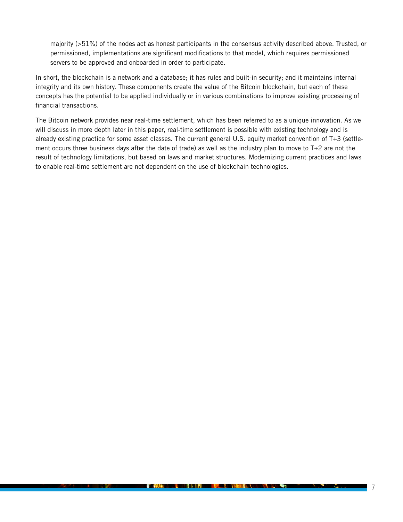majority (>51%) of the nodes act as honest participants in the consensus activity described above. Trusted, or permissioned, implementations are significant modifications to that model, which requires permissioned servers to be approved and onboarded in order to participate.

In short, the blockchain is a network and a database; it has rules and built-in security; and it maintains internal integrity and its own history. These components create the value of the Bitcoin blockchain, but each of these concepts has the potential to be applied individually or in various combinations to improve existing processing of financial transactions.

The Bitcoin network provides near real-time settlement, which has been referred to as a unique innovation. As we will discuss in more depth later in this paper, real-time settlement is possible with existing technology and is already existing practice for some asset classes. The current general U.S. equity market convention of T+3 (settlement occurs three business days after the date of trade) as well as the industry plan to move to T+2 are not the result of technology limitations, but based on laws and market structures. Modernizing current practices and laws to enable real-time settlement are not dependent on the use of blockchain technologies.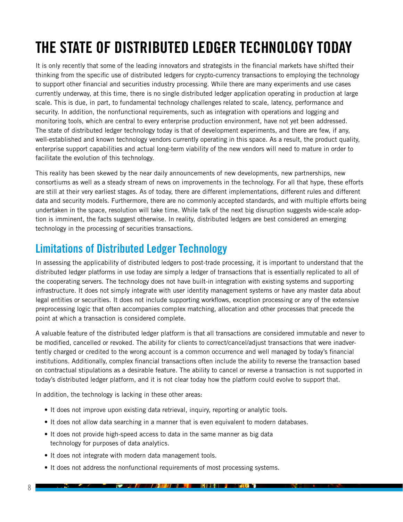## <span id="page-9-0"></span>THE STATE OF DISTRIBUTED LEDGER TECHNOLOGY TODAY

It is only recently that some of the leading innovators and strategists in the financial markets have shifted their thinking from the specific use of distributed ledgers for crypto-currency transactions to employing the technology to support other financial and securities industry processing. While there are many experiments and use cases currently underway, at this time, there is no single distributed ledger application operating in production at large scale. This is due, in part, to fundamental technology challenges related to scale, latency, performance and security. In addition, the nonfunctional requirements, such as integration with operations and logging and monitoring tools, which are central to every enterprise production environment, have not yet been addressed. The state of distributed ledger technology today is that of development experiments, and there are few, if any, well-established and known technology vendors currently operating in this space. As a result, the product quality, enterprise support capabilities and actual long-term viability of the new vendors will need to mature in order to facilitate the evolution of this technology.

This reality has been skewed by the near daily announcements of new developments, new partnerships, new consortiums as well as a steady stream of news on improvements in the technology. For all that hype, these efforts are still at their very earliest stages. As of today, there are different implementations, different rules and different data and security models. Furthermore, there are no commonly accepted standards, and with multiple efforts being undertaken in the space, resolution will take time. While talk of the next big disruption suggests wide-scale adoption is imminent, the facts suggest otherwise. In reality, distributed ledgers are best considered an emerging technology in the processing of securities transactions.

### Limitations of Distributed Ledger Technology

In assessing the applicability of distributed ledgers to post-trade processing, it is important to understand that the distributed ledger platforms in use today are simply a ledger of transactions that is essentially replicated to all of the cooperating servers. The technology does not have built-in integration with existing systems and supporting infrastructure. It does not simply integrate with user identity management systems or have any master data about legal entities or securities. It does not include supporting workflows, exception processing or any of the extensive preprocessing logic that often accompanies complex matching, allocation and other processes that precede the point at which a transaction is considered complete.

A valuable feature of the distributed ledger platform is that all transactions are considered immutable and never to be modified, cancelled or revoked. The ability for clients to correct/cancel/adjust transactions that were inadvertently charged or credited to the wrong account is a common occurrence and well managed by today's financial institutions. Additionally, complex financial transactions often include the ability to reverse the transaction based on contractual stipulations as a desirable feature. The ability to cancel or reverse a transaction is not supported in today's distributed ledger platform, and it is not clear today how the platform could evolve to support that.

In addition, the technology is lacking in these other areas:

- It does not improve upon existing data retrieval, inquiry, reporting or analytic tools.
- It does not allow data searching in a manner that is even equivalent to modern databases.
- It does not provide high-speed access to data in the same manner as big data technology for purposes of data analytics.
- It does not integrate with modern data management tools.
- It does not address the nonfunctional requirements of most processing systems.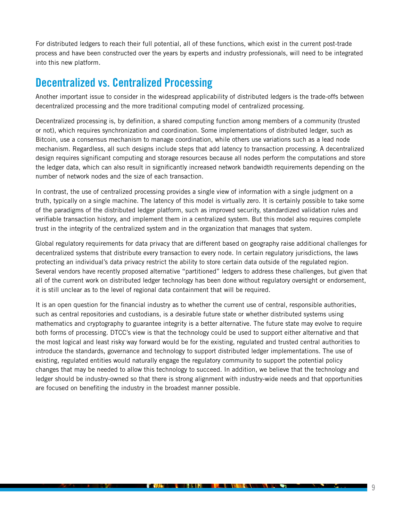For distributed ledgers to reach their full potential, all of these functions, which exist in the current post-trade process and have been constructed over the years by experts and industry professionals, will need to be integrated into this new platform.

### Decentralized vs. Centralized Processing

Another important issue to consider in the widespread applicability of distributed ledgers is the trade-offs between decentralized processing and the more traditional computing model of centralized processing.

Decentralized processing is, by definition, a shared computing function among members of a community (trusted or not), which requires synchronization and coordination. Some implementations of distributed ledger, such as Bitcoin, use a consensus mechanism to manage coordination, while others use variations such as a lead node mechanism. Regardless, all such designs include steps that add latency to transaction processing. A decentralized design requires significant computing and storage resources because all nodes perform the computations and store the ledger data, which can also result in significantly increased network bandwidth requirements depending on the number of network nodes and the size of each transaction.

In contrast, the use of centralized processing provides a single view of information with a single judgment on a truth, typically on a single machine. The latency of this model is virtually zero. It is certainly possible to take some of the paradigms of the distributed ledger platform, such as improved security, standardized validation rules and verifiable transaction history, and implement them in a centralized system. But this model also requires complete trust in the integrity of the centralized system and in the organization that manages that system.

Global regulatory requirements for data privacy that are different based on geography raise additional challenges for decentralized systems that distribute every transaction to every node. In certain regulatory jurisdictions, the laws protecting an individual's data privacy restrict the ability to store certain data outside of the regulated region. Several vendors have recently proposed alternative "partitioned" ledgers to address these challenges, but given that all of the current work on distributed ledger technology has been done without regulatory oversight or endorsement, it is still unclear as to the level of regional data containment that will be required.

It is an open question for the financial industry as to whether the current use of central, responsible authorities, such as central repositories and custodians, is a desirable future state or whether distributed systems using mathematics and cryptography to guarantee integrity is a better alternative. The future state may evolve to require both forms of processing. DTCC's view is that the technology could be used to support either alternative and that the most logical and least risky way forward would be for the existing, regulated and trusted central authorities to introduce the standards, governance and technology to support distributed ledger implementations. The use of existing, regulated entities would naturally engage the regulatory community to support the potential policy changes that may be needed to allow this technology to succeed. In addition, we believe that the technology and ledger should be industry-owned so that there is strong alignment with industry-wide needs and that opportunities are focused on benefiting the industry in the broadest manner possible.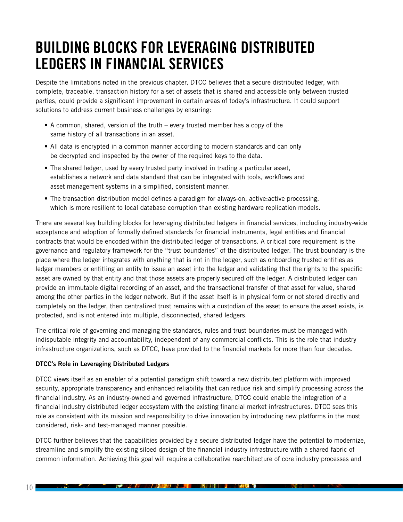### <span id="page-11-0"></span>BUILDING BLOCKS FOR LEVERAGING DISTRIBUTED LEDGERS IN FINANCIAL SERVICES

Despite the limitations noted in the previous chapter, DTCC believes that a secure distributed ledger, with complete, traceable, transaction history for a set of assets that is shared and accessible only between trusted parties, could provide a significant improvement in certain areas of today's infrastructure. It could support solutions to address current business challenges by ensuring:

- A common, shared, version of the truth every trusted member has a copy of the same history of all transactions in an asset.
- All data is encrypted in a common manner according to modern standards and can only be decrypted and inspected by the owner of the required keys to the data.
- The shared ledger, used by every trusted party involved in trading a particular asset, establishes a network and data standard that can be integrated with tools, workflows and asset management systems in a simplified, consistent manner.
- The transaction distribution model defines a paradigm for always-on, active:active processing, which is more resilient to local database corruption than existing hardware replication models.

There are several key building blocks for leveraging distributed ledgers in financial services, including industry-wide acceptance and adoption of formally defined standards for financial instruments, legal entities and financial contracts that would be encoded within the distributed ledger of transactions. A critical core requirement is the governance and regulatory framework for the "trust boundaries" of the distributed ledger. The trust boundary is the place where the ledger integrates with anything that is not in the ledger, such as onboarding trusted entities as ledger members or entitling an entity to issue an asset into the ledger and validating that the rights to the specific asset are owned by that entity and that those assets are properly secured off the ledger. A distributed ledger can provide an immutable digital recording of an asset, and the transactional transfer of that asset for value, shared among the other parties in the ledger network. But if the asset itself is in physical form or not stored directly and completely on the ledger, then centralized trust remains with a custodian of the asset to ensure the asset exists, is protected, and is not entered into multiple, disconnected, shared ledgers.

The critical role of governing and managing the standards, rules and trust boundaries must be managed with indisputable integrity and accountability, independent of any commercial conflicts. This is the role that industry infrastructure organizations, such as DTCC, have provided to the financial markets for more than four decades.

#### DTCC's Role in Leveraging Distributed Ledgers

DTCC views itself as an enabler of a potential paradigm shift toward a new distributed platform with improved security, appropriate transparency and enhanced reliability that can reduce risk and simplify processing across the financial industry. As an industry-owned and governed infrastructure, DTCC could enable the integration of a financial industry distributed ledger ecosystem with the existing financial market infrastructures. DTCC sees this role as consistent with its mission and responsibility to drive innovation by introducing new platforms in the most considered, risk- and test-managed manner possible.

DTCC further believes that the capabilities provided by a secure distributed ledger have the potential to modernize, streamline and simplify the existing siloed design of the financial industry infrastructure with a shared fabric of common information. Achieving this goal will require a collaborative rearchitecture of core industry processes and

n en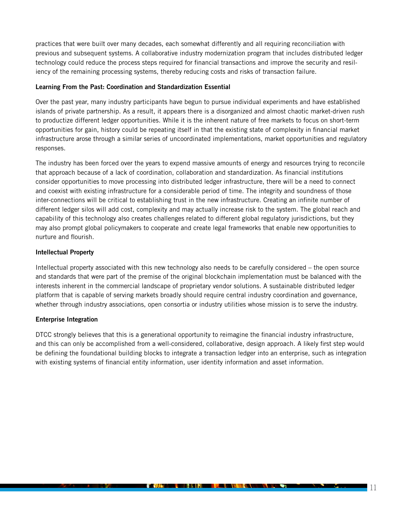practices that were built over many decades, each somewhat differently and all requiring reconciliation with previous and subsequent systems. A collaborative industry modernization program that includes distributed ledger technology could reduce the process steps required for financial transactions and improve the security and resiliency of the remaining processing systems, thereby reducing costs and risks of transaction failure.

#### Learning From the Past: Coordination and Standardization Essential

Over the past year, many industry participants have begun to pursue individual experiments and have established islands of private partnership. As a result, it appears there is a disorganized and almost chaotic market-driven rush to productize different ledger opportunities. While it is the inherent nature of free markets to focus on short-term opportunities for gain, history could be repeating itself in that the existing state of complexity in financial market infrastructure arose through a similar series of uncoordinated implementations, market opportunities and regulatory responses.

The industry has been forced over the years to expend massive amounts of energy and resources trying to reconcile that approach because of a lack of coordination, collaboration and standardization. As financial institutions consider opportunities to move processing into distributed ledger infrastructure, there will be a need to connect and coexist with existing infrastructure for a considerable period of time. The integrity and soundness of those inter-connections will be critical to establishing trust in the new infrastructure. Creating an infinite number of different ledger silos will add cost, complexity and may actually increase risk to the system. The global reach and capability of this technology also creates challenges related to different global regulatory jurisdictions, but they may also prompt global policymakers to cooperate and create legal frameworks that enable new opportunities to nurture and flourish.

#### Intellectual Property

Intellectual property associated with this new technology also needs to be carefully considered – the open source and standards that were part of the premise of the original blockchain implementation must be balanced with the interests inherent in the commercial landscape of proprietary vendor solutions. A sustainable distributed ledger platform that is capable of serving markets broadly should require central industry coordination and governance, whether through industry associations, open consortia or industry utilities whose mission is to serve the industry.

#### Enterprise Integration

DTCC strongly believes that this is a generational opportunity to reimagine the financial industry infrastructure, and this can only be accomplished from a well-considered, collaborative, design approach. A likely first step would be defining the foundational building blocks to integrate a transaction ledger into an enterprise, such as integration with existing systems of financial entity information, user identity information and asset information.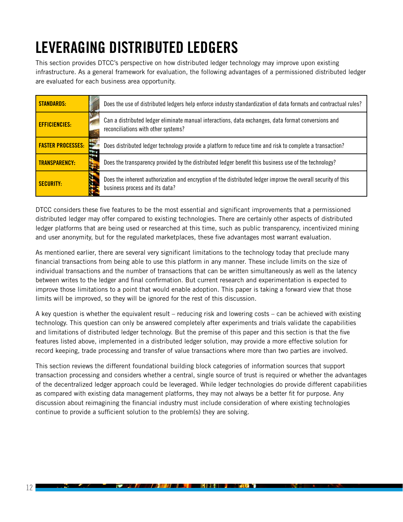## <span id="page-13-0"></span>LEVERAGING DISTRIBUTED LEDGERS

This section provides DTCC's perspective on how distributed ledger technology may improve upon existing infrastructure. As a general framework for evaluation, the following advantages of a permissioned distributed ledger are evaluated for each business area opportunity.

| <b>STANDARDS:</b>        | Does the use of distributed ledgers help enforce industry standardization of data formats and contractual rules?                                |
|--------------------------|-------------------------------------------------------------------------------------------------------------------------------------------------|
| <b>EFFICIENCIES:</b>     | Can a distributed ledger eliminate manual interactions, data exchanges, data format conversions and<br>reconciliations with other systems?      |
| <b>FASTER PROCESSES:</b> | Does distributed ledger technology provide a platform to reduce time and risk to complete a transaction?                                        |
| <b>TRANSPARENCY:</b>     | Does the transparency provided by the distributed ledger benefit this business use of the technology?                                           |
| <b>SECURITY:</b>         | Does the inherent authorization and encryption of the distributed ledger improve the overall security of this<br>business process and its data? |

DTCC considers these five features to be the most essential and significant improvements that a permissioned distributed ledger may offer compared to existing technologies. There are certainly other aspects of distributed ledger platforms that are being used or researched at this time, such as public transparency, incentivized mining and user anonymity, but for the regulated marketplaces, these five advantages most warrant evaluation.

As mentioned earlier, there are several very significant limitations to the technology today that preclude many financial transactions from being able to use this platform in any manner. These include limits on the size of individual transactions and the number of transactions that can be written simultaneously as well as the latency between writes to the ledger and final confirmation. But current research and experimentation is expected to improve those limitations to a point that would enable adoption. This paper is taking a forward view that those limits will be improved, so they will be ignored for the rest of this discussion.

A key question is whether the equivalent result – reducing risk and lowering costs – can be achieved with existing technology. This question can only be answered completely after experiments and trials validate the capabilities and limitations of distributed ledger technology. But the premise of this paper and this section is that the five features listed above, implemented in a distributed ledger solution, may provide a more effective solution for record keeping, trade processing and transfer of value transactions where more than two parties are involved.

This section reviews the different foundational building block categories of information sources that support transaction processing and considers whether a central, single source of trust is required or whether the advantages of the decentralized ledger approach could be leveraged. While ledger technologies do provide different capabilities as compared with existing data management platforms, they may not always be a better fit for purpose. Any discussion about reimagining the financial industry must include consideration of where existing technologies continue to provide a sufficient solution to the problem(s) they are solving.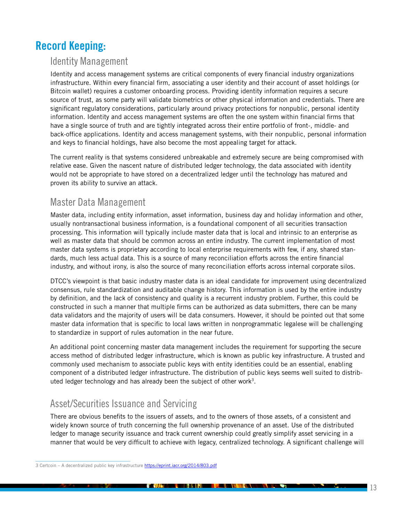### Record Keeping:

#### Identity Management

Identity and access management systems are critical components of every financial industry organizations infrastructure. Within every financial firm, associating a user identity and their account of asset holdings (or Bitcoin wallet) requires a customer onboarding process. Providing identity information requires a secure source of trust, as some party will validate biometrics or other physical information and credentials. There are significant regulatory considerations, particularly around privacy protections for nonpublic, personal identity information. Identity and access management systems are often the one system within financial firms that have a single source of truth and are tightly integrated across their entire portfolio of front-, middle- and back-office applications. Identity and access management systems, with their nonpublic, personal information and keys to financial holdings, have also become the most appealing target for attack.

The current reality is that systems considered unbreakable and extremely secure are being compromised with relative ease. Given the nascent nature of distributed ledger technology, the data associated with identity would not be appropriate to have stored on a decentralized ledger until the technology has matured and proven its ability to survive an attack.

#### Master Data Management

Master data, including entity information, asset information, business day and holiday information and other, usually nontransactional business information, is a foundational component of all securities transaction processing. This information will typically include master data that is local and intrinsic to an enterprise as well as master data that should be common across an entire industry. The current implementation of most master data systems is proprietary according to local enterprise requirements with few, if any, shared standards, much less actual data. This is a source of many reconciliation efforts across the entire financial industry, and without irony, is also the source of many reconciliation efforts across internal corporate silos.

DTCC's viewpoint is that basic industry master data is an ideal candidate for improvement using decentralized consensus, rule standardization and auditable change history. This information is used by the entire industry by definition, and the lack of consistency and quality is a recurrent industry problem. Further, this could be constructed in such a manner that multiple firms can be authorized as data submitters, there can be many data validators and the majority of users will be data consumers. However, it should be pointed out that some master data information that is specific to local laws written in nonprogrammatic legalese will be challenging to standardize in support of rules automation in the near future.

An additional point concerning master data management includes the requirement for supporting the secure access method of distributed ledger infrastructure, which is known as public key infrastructure. A trusted and commonly used mechanism to associate public keys with entity identities could be an essential, enabling component of a distributed ledger infrastructure. The distribution of public keys seems well suited to distributed ledger technology and has already been the subject of other work<sup>3</sup>.

### Asset/Securities Issuance and Servicing

There are obvious benefits to the issuers of assets, and to the owners of those assets, of a consistent and widely known source of truth concerning the full ownership provenance of an asset. Use of the distributed ledger to manage security issuance and track current ownership could greatly simplify asset servicing in a manner that would be very difficult to achieve with legacy, centralized technology. A significant challenge will

<sup>3</sup> Certcoin - A decentralized public key infrastructure <https://eprint.iacr.org/2014/803.pdf>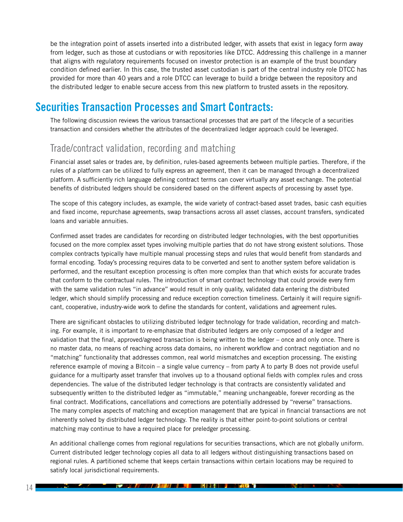be the integration point of assets inserted into a distributed ledger, with assets that exist in legacy form away from ledger, such as those at custodians or with repositories like DTCC. Addressing this challenge in a manner that aligns with regulatory requirements focused on investor protection is an example of the trust boundary condition defined earlier. In this case, the trusted asset custodian is part of the central industry role DTCC has provided for more than 40 years and a role DTCC can leverage to build a bridge between the repository and the distributed ledger to enable secure access from this new platform to trusted assets in the repository.

### Securities Transaction Processes and Smart Contracts:

The following discussion reviews the various transactional processes that are part of the lifecycle of a securities transaction and considers whether the attributes of the decentralized ledger approach could be leveraged.

#### Trade/contract validation, recording and matching

Financial asset sales or trades are, by definition, rules-based agreements between multiple parties. Therefore, if the rules of a platform can be utilized to fully express an agreement, then it can be managed through a decentralized platform. A sufficiently rich language defining contract terms can cover virtually any asset exchange. The potential benefits of distributed ledgers should be considered based on the different aspects of processing by asset type.

The scope of this category includes, as example, the wide variety of contract-based asset trades, basic cash equities and fixed income, repurchase agreements, swap transactions across all asset classes, account transfers, syndicated loans and variable annuities.

Confirmed asset trades are candidates for recording on distributed ledger technologies, with the best opportunities focused on the more complex asset types involving multiple parties that do not have strong existent solutions. Those complex contracts typically have multiple manual processing steps and rules that would benefit from standards and formal encoding. Today's processing requires data to be converted and sent to another system before validation is performed, and the resultant exception processing is often more complex than that which exists for accurate trades that conform to the contractual rules. The introduction of smart contract technology that could provide every firm with the same validation rules "in advance" would result in only quality, validated data entering the distributed ledger, which should simplify processing and reduce exception correction timeliness. Certainly it will require significant, cooperative, industry-wide work to define the standards for content, validations and agreement rules.

There are significant obstacles to utilizing distributed ledger technology for trade validation, recording and matching. For example, it is important to re-emphasize that distributed ledgers are only composed of a ledger and validation that the final, approved/agreed transaction is being written to the ledger – once and only once. There is no master data, no means of reaching across data domains, no inherent workflow and contract negotiation and no "matching" functionality that addresses common, real world mismatches and exception processing. The existing reference example of moving a Bitcoin – a single value currency – from party A to party B does not provide useful guidance for a multiparty asset transfer that involves up to a thousand optional fields with complex rules and cross dependencies. The value of the distributed ledger technology is that contracts are consistently validated and subsequently written to the distributed ledger as "immutable," meaning unchangeable, forever recording as the final contract. Modifications, cancellations and corrections are potentially addressed by "reverse" transactions. The many complex aspects of matching and exception management that are typical in financial transactions are not inherently solved by distributed ledger technology. The reality is that either point-to-point solutions or central matching may continue to have a required place for preledger processing.

An additional challenge comes from regional regulations for securities transactions, which are not globally uniform. Current distributed ledger technology copies all data to all ledgers without distinguishing transactions based on regional rules. A partitioned scheme that keeps certain transactions within certain locations may be required to satisfy local jurisdictional requirements.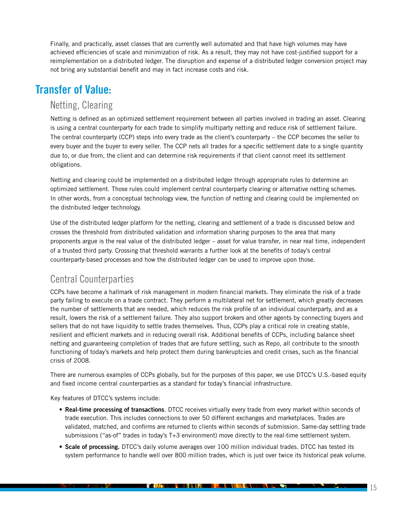Finally, and practically, asset classes that are currently well automated and that have high volumes may have achieved efficiencies of scale and minimization of risk. As a result, they may not have cost-justified support for a reimplementation on a distributed ledger. The disruption and expense of a distributed ledger conversion project may not bring any substantial benefit and may in fact increase costs and risk.

### Transfer of Value:

#### Netting, Clearing

Netting is defined as an optimized settlement requirement between all parties involved in trading an asset. Clearing is using a central counterparty for each trade to simplify multiparty netting and reduce risk of settlement failure. The central counterparty (CCP) steps into every trade as the client's counterparty – the CCP becomes the seller to every buyer and the buyer to every seller. The CCP nets all trades for a specific settlement date to a single quantity due to, or due from, the client and can determine risk requirements if that client cannot meet its settlement obligations.

Netting and clearing could be implemented on a distributed ledger through appropriate rules to determine an optimized settlement. Those rules could implement central counterparty clearing or alternative netting schemes. In other words, from a conceptual technology view, the function of netting and clearing could be implemented on the distributed ledger technology.

Use of the distributed ledger platform for the netting, clearing and settlement of a trade is discussed below and crosses the threshold from distributed validation and information sharing purposes to the area that many proponents argue is the real value of the distributed ledger – asset for value transfer, in near real time, independent of a trusted third party. Crossing that threshold warrants a further look at the benefits of today's central counterparty-based processes and how the distributed ledger can be used to improve upon those.

### Central Counterparties

CCPs have become a hallmark of risk management in modern financial markets. They eliminate the risk of a trade party failing to execute on a trade contract. They perform a multilateral net for settlement, which greatly decreases the number of settlements that are needed, which reduces the risk profile of an individual counterparty, and as a result, lowers the risk of a settlement failure. They also support brokers and other agents by connecting buyers and sellers that do not have liquidity to settle trades themselves. Thus, CCPs play a critical role in creating stable, resilient and efficient markets and in reducing overall risk. Additional benefits of CCPs, including balance sheet netting and guaranteeing completion of trades that are future settling, such as Repo, all contribute to the smooth functioning of today's markets and help protect them during bankruptcies and credit crises, such as the financial crisis of 2008.

There are numerous examples of CCPs globally, but for the purposes of this paper, we use DTCC's U.S.-based equity and fixed income central counterparties as a standard for today's financial infrastructure.

Key features of DTCC's systems include:

- Real-time processing of transactions. DTCC receives virtually every trade from every market within seconds of trade execution. This includes connections to over 50 different exchanges and marketplaces. Trades are validated, matched, and confirms are returned to clients within seconds of submission. Same-day settling trade submissions ("as-of" trades in today's T+3 environment) move directly to the real-time settlement system.
- Scale of processing. DTCC's daily volume averages over 100 million individual trades. DTCC has tested its system performance to handle well over 800 million trades, which is just over twice its historical peak volume.

<u>f *the t*ime in the property of the state of the state of the state of the state of the state of the state of the state of the state of the state of the state of the state of the state of the state of the state of the sta</u>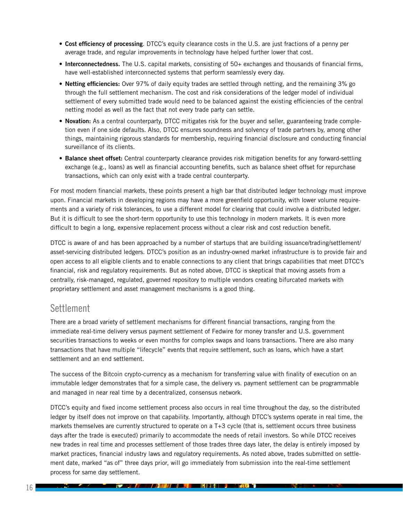- Cost efficiency of processing. DTCC's equity clearance costs in the U.S. are just fractions of a penny per average trade, and regular improvements in technology have helped further lower that cost.
- Interconnectedness. The U.S. capital markets, consisting of 50+ exchanges and thousands of financial firms, have well-established interconnected systems that perform seamlessly every day.
- Netting efficiencies: Over 97% of daily equity trades are settled through netting, and the remaining 3% go through the full settlement mechanism. The cost and risk considerations of the ledger model of individual settlement of every submitted trade would need to be balanced against the existing efficiencies of the central netting model as well as the fact that not every trade party can settle.
- Novation: As a central counterparty, DTCC mitigates risk for the buyer and seller, guaranteeing trade completion even if one side defaults. Also, DTCC ensures soundness and solvency of trade partners by, among other things, maintaining rigorous standards for membership, requiring financial disclosure and conducting financial surveillance of its clients.
- Balance sheet offset: Central counterparty clearance provides risk mitigation benefits for any forward-settling exchange (e.g., loans) as well as financial accounting benefits, such as balance sheet offset for repurchase transactions, which can only exist with a trade central counterparty.

For most modern financial markets, these points present a high bar that distributed ledger technology must improve upon. Financial markets in developing regions may have a more greenfield opportunity, with lower volume requirements and a variety of risk tolerances, to use a different model for clearing that could involve a distributed ledger. But it is difficult to see the short-term opportunity to use this technology in modern markets. It is even more difficult to begin a long, expensive replacement process without a clear risk and cost reduction benefit.

DTCC is aware of and has been approached by a number of startups that are building issuance/trading/settlement/ asset-servicing distributed ledgers. DTCC's position as an industry-owned market infrastructure is to provide fair and open access to all eligible clients and to enable connections to any client that brings capabilities that meet DTCC's financial, risk and regulatory requirements. But as noted above, DTCC is skeptical that moving assets from a centrally, risk-managed, regulated, governed repository to multiple vendors creating bifurcated markets with proprietary settlement and asset management mechanisms is a good thing.

#### **Settlement**

There are a broad variety of settlement mechanisms for different financial transactions, ranging from the immediate real-time delivery versus payment settlement of Fedwire for money transfer and U.S. government securities transactions to weeks or even months for complex swaps and loans transactions. There are also many transactions that have multiple "lifecycle" events that require settlement, such as loans, which have a start settlement and an end settlement.

The success of the Bitcoin crypto-currency as a mechanism for transferring value with finality of execution on an immutable ledger demonstrates that for a simple case, the delivery vs. payment settlement can be programmable and managed in near real time by a decentralized, consensus network.

DTCC's equity and fixed income settlement process also occurs in real time throughout the day, so the distributed ledger by itself does not improve on that capability. Importantly, although DTCC's systems operate in real time, the markets themselves are currently structured to operate on a T+3 cycle (that is, settlement occurs three business days after the trade is executed) primarily to accommodate the needs of retail investors. So while DTCC receives new trades in real time and processes settlement of those trades three days later, the delay is entirely imposed by market practices, financial industry laws and regulatory requirements. As noted above, trades submitted on settlement date, marked "as of" three days prior, will go immediately from submission into the real-time settlement process for same day settlement.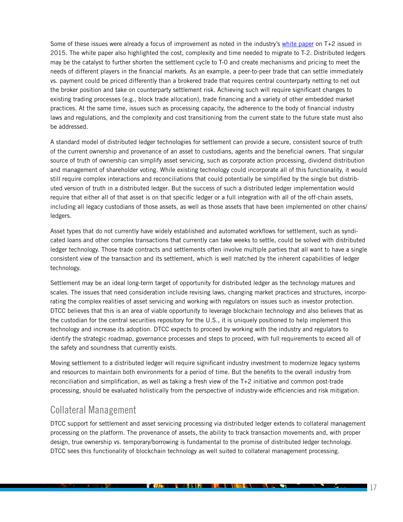Some of these issues were already a focus of improvement as noted in the industry's [white paper](http://www.ust2.com/pdfs/ssc.pdf) on T+2 issued in 2015. The white paper also highlighted the cost, complexity and time needed to migrate to T-2. Distributed ledgers may be the catalyst to further shorten the settlement cycle to T-0 and create mechanisms and pricing to meet the needs of different players in the financial markets. As an example, a peer-to-peer trade that can settle immediately vs. payment could be priced differently than a brokered trade that requires central counterparty netting to net out the broker position and take on counterparty settlement risk. Achieving such will require significant changes to existing trading processes (e.g., block trade allocation), trade financing and a variety of other embedded market practices. At the same time, issues such as processing capacity, the adherence to the body of financial industry laws and regulations, and the complexity and cost transitioning from the current state to the future state must also be addressed.

A standard model of distributed ledger technologies for settlement can provide a secure, consistent source of truth of the current ownership and provenance of an asset to custodians, agents and the beneficial owners. That singular source of truth of ownership can simplify asset servicing, such as corporate action processing, dividend distribution and management of shareholder voting. While existing technology could incorporate all of this functionality, it would still require complex interactions and reconciliations that could potentially be simplified by the single but distributed version of truth in a distributed ledger. But the success of such a distributed ledger implementation would require that either all of that asset is on that specific ledger or a full integration with all of the off-chain assets, including all legacy custodians of those assets, as well as those assets that have been implemented on other chains/ ledgers.

Asset types that do not currently have widely established and automated workflows for settlement, such as syndicated loans and other complex transactions that currently can take weeks to settle, could be solved with distributed ledger technology. Those trade contracts and settlements often involve multiple parties that all want to have a single consistent view of the transaction and its settlement, which is well matched by the inherent capabilities of ledger technology.

Settlement may be an ideal long-term target of opportunity for distributed ledger as the technology matures and scales. The issues that need consideration include revising laws, changing market practices and structures, incorporating the complex realities of asset servicing and working with regulators on issues such as investor protection. DTCC believes that this is an area of viable opportunity to leverage blockchain technology and also believes that as the custodian for the central securities repository for the U.S., it is uniquely positioned to help implement this technology and increase its adoption. DTCC expects to proceed by working with the industry and regulators to identify the strategic roadmap, governance processes and steps to proceed, with full requirements to exceed all of the safety and soundness that currently exists.

Moving settlement to a distributed ledger will require significant industry investment to modernize legacy systems and resources to maintain both environments for a period of time. But the benefits to the overall industry from reconciliation and simplification, as well as taking a fresh view of the T+2 initiative and common post-trade processing, should be evaluated holistically from the perspective of industry-wide efficiencies and risk mitigation.

### Collateral Management

DTCC support for settlement and asset servicing processing via distributed ledger extends to collateral management processing on the platform. The provenance of assets, the ability to track transaction movements and, with proper design, true ownership vs. temporary/borrowing is fundamental to the promise of distributed ledger technology. DTCC sees this functionality of blockchain technology as well suited to collateral management processing.

**THE REPORT OF A REPORT OF A REPORT OF A REPORT OF A REPORT OF A REPORT OF A REPORT OF A REPORT OF A REPORT OF A** 

 $\mathcal{L}_{\text{max}}$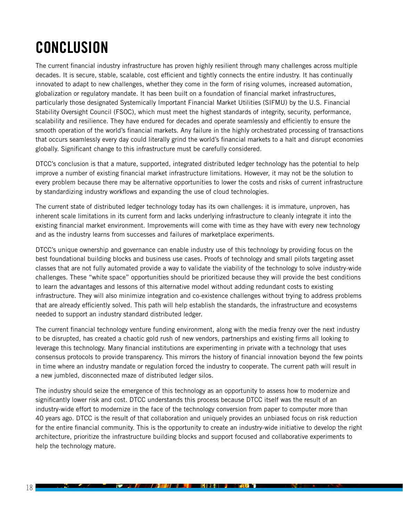### <span id="page-19-0"></span>**CONCLUSION**

The current financial industry infrastructure has proven highly resilient through many challenges across multiple decades. It is secure, stable, scalable, cost efficient and tightly connects the entire industry. It has continually innovated to adapt to new challenges, whether they come in the form of rising volumes, increased automation, globalization or regulatory mandate. It has been built on a foundation of financial market infrastructures, particularly those designated Systemically Important Financial Market Utilities (SIFMU) by the U.S. Financial Stability Oversight Council (FSOC), which must meet the highest standards of integrity, security, performance, scalability and resilience. They have endured for decades and operate seamlessly and efficiently to ensure the smooth operation of the world's financial markets. Any failure in the highly orchestrated processing of transactions that occurs seamlessly every day could literally grind the world's financial markets to a halt and disrupt economies globally. Significant change to this infrastructure must be carefully considered.

DTCC's conclusion is that a mature, supported, integrated distributed ledger technology has the potential to help improve a number of existing financial market infrastructure limitations. However, it may not be the solution to every problem because there may be alternative opportunities to lower the costs and risks of current infrastructure by standardizing industry workflows and expanding the use of cloud technologies.

The current state of distributed ledger technology today has its own challenges: it is immature, unproven, has inherent scale limitations in its current form and lacks underlying infrastructure to cleanly integrate it into the existing financial market environment. Improvements will come with time as they have with every new technology and as the industry learns from successes and failures of marketplace experiments.

DTCC's unique ownership and governance can enable industry use of this technology by providing focus on the best foundational building blocks and business use cases. Proofs of technology and small pilots targeting asset classes that are not fully automated provide a way to validate the viability of the technology to solve industry-wide challenges. These "white space" opportunities should be prioritized because they will provide the best conditions to learn the advantages and lessons of this alternative model without adding redundant costs to existing infrastructure. They will also minimize integration and co-existence challenges without trying to address problems that are already efficiently solved. This path will help establish the standards, the infrastructure and ecosystems needed to support an industry standard distributed ledger.

The current financial technology venture funding environment, along with the media frenzy over the next industry to be disrupted, has created a chaotic gold rush of new vendors, partnerships and existing firms all looking to leverage this technology. Many financial institutions are experimenting in private with a technology that uses consensus protocols to provide transparency. This mirrors the history of financial innovation beyond the few points in time where an industry mandate or regulation forced the industry to cooperate. The current path will result in a new jumbled, disconnected maze of distributed ledger silos.

The industry should seize the emergence of this technology as an opportunity to assess how to modernize and significantly lower risk and cost. DTCC understands this process because DTCC itself was the result of an industry-wide effort to modernize in the face of the technology conversion from paper to computer more than 40 years ago. DTCC is the result of that collaboration and uniquely provides an unbiased focus on risk reduction for the entire financial community. This is the opportunity to create an industry-wide initiative to develop the right architecture, prioritize the infrastructure building blocks and support focused and collaborative experiments to help the technology mature.

<u> 1949/1944/1945/1945/1946/1946/1946/1946/1946</u>